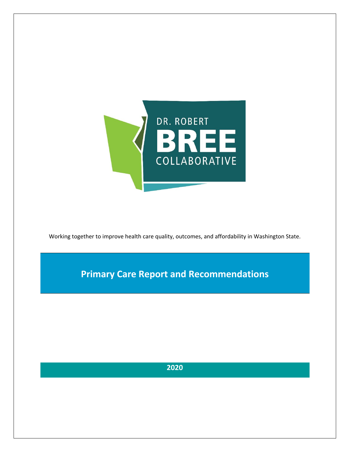

Working together to improve health care quality, outcomes, and affordability in Washington State.

**Primary Care Report and Recommendations**

**2020**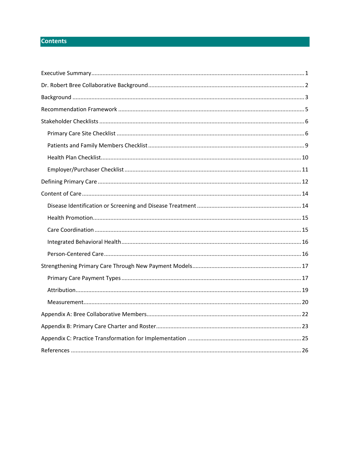# **Contents**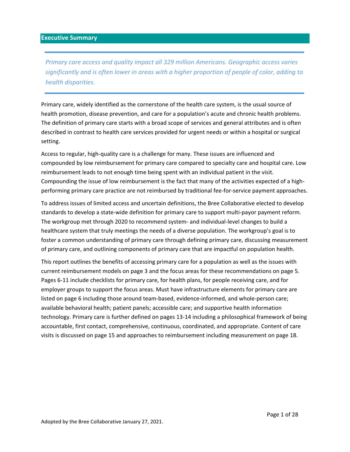<span id="page-2-0"></span>*Primary care access and quality impact all 329 million Americans. Geographic access varies significantly and is often lower in areas with a higher proportion of people of color, adding to health disparities.* 

Primary care, widely identified as the cornerstone of the health care system, is the usual source of health promotion, disease prevention, and care for a population's acute and chronic health problems. The definition of primary care starts with a broad scope of services and general attributes and is often described in contrast to health care services provided for urgent needs or within a hospital or surgical setting.

Access to regular, high-quality care is a challenge for many. These issues are influenced and compounded by low reimbursement for primary care compared to specialty care and hospital care. Low reimbursement leads to not enough time being spent with an individual patient in the visit. Compounding the issue of low reimbursement is the fact that many of the activities expected of a highperforming primary care practice are not reimbursed by traditional fee-for-service payment approaches.

To address issues of limited access and uncertain definitions, the Bree Collaborative elected to develop standards to develop a state-wide definition for primary care to support multi-payor payment reform. The workgroup met through 2020 to recommend system- and individual-level changes to build a healthcare system that truly meetings the needs of a diverse population. The workgroup's goal is to foster a common understanding of primary care through defining primary care, discussing measurement of primary care, and outlining components of primary care that are impactful on population health.

This report outlines the benefits of accessing primary care for a population as well as the issues with current reimbursement models on page 3 and the focus areas for these recommendations on page 5. Pages 6-11 include checklists for primary care, for health plans, for people receiving care, and for employer groups to support the focus areas. Must have infrastructure elements for primary care are listed on page 6 including those around team-based, evidence-informed, and whole-person care; available behavioral health; patient panels; accessible care; and supportive health information technology. Primary care is further defined on pages 13-14 including a philosophical framework of being accountable, first contact, comprehensive, continuous, coordinated, and appropriate. Content of care visits is discussed on page 15 and approaches to reimbursement including measurement on page 18.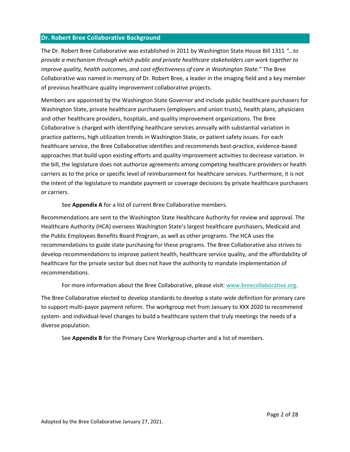## <span id="page-3-0"></span>**Dr. Robert Bree Collaborative Background**

The Dr. Robert Bree Collaborative was established in 2011 by Washington State House Bill 1311 *"…to provide a mechanism through which public and private healthcare stakeholders can work together to improve quality, health outcomes, and cost effectiveness of care in Washington State."* The Bree Collaborative was named in memory of Dr. Robert Bree, a leader in the imaging field and a key member of previous healthcare quality improvement collaborative projects.

Members are appointed by the Washington State Governor and include public healthcare purchasers for Washington State, private healthcare purchasers (employers and union trusts), health plans, physicians and other healthcare providers, hospitals, and quality improvement organizations. The Bree Collaborative is charged with identifying healthcare services annually with substantial variation in practice patterns, high utilization trends in Washington State, or patient safety issues. For each healthcare service, the Bree Collaborative identifies and recommends best-practice, evidence-based approaches that build upon existing efforts and quality improvement activities to decrease variation. In the bill, the legislature does not authorize agreements among competing healthcare providers or health carriers as to the price or specific level of reimbursement for healthcare services. Furthermore, it is not the intent of the legislature to mandate payment or coverage decisions by private healthcare purchasers or carriers.

See **Appendix A** for a list of current Bree Collaborative members.

Recommendations are sent to the Washington State Healthcare Authority for review and approval. The Healthcare Authority (HCA) oversees Washington State's largest healthcare purchasers, Medicaid and the Public Employees Benefits Board Program, as well as other programs. The HCA uses the recommendations to guide state purchasing for these programs. The Bree Collaborative also strives to develop recommendations to improve patient health, healthcare service quality, and the affordability of healthcare for the private sector but does not have the authority to mandate implementation of recommendations.

For more information about the Bree Collaborative, please visit: [www.breecollaborative.org.](http://www.breecollaborative.org/)

The Bree Collaborative elected to develop standards to develop a state-wide definition for primary care to support multi-payor payment reform. The workgroup met from January to XXX 2020 to recommend system- and individual-level changes to build a healthcare system that truly meetings the needs of a diverse population.

See **Appendix B** for the Primary Care Workgroup charter and a list of members.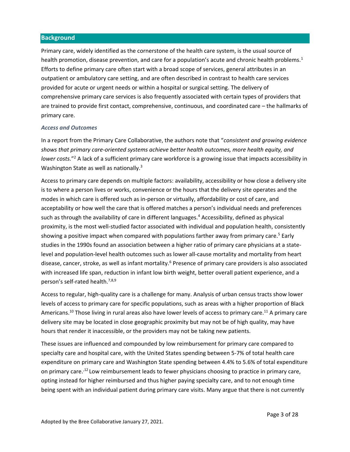## <span id="page-4-0"></span>**Background**

Primary care, widely identified as the cornerstone of the health care system, is the usual source of health promotion, disease prevention, and care for a population's acute and chronic health problems.<sup>1</sup> Efforts to define primary care often start with a broad scope of services, general attributes in an outpatient or ambulatory care setting, and are often described in contrast to health care services provided for acute or urgent needs or within a hospital or surgical setting. The delivery of comprehensive primary care services is also frequently associated with certain types of providers that are trained to provide first contact, comprehensive, continuous, and coordinated care – the hallmarks of primary care.

#### *Access and Outcomes*

In a report from the Primary Care Collaborative, the authors note that "*consistent and growing evidence shows that primary care-oriented systems achieve better health outcomes, more health equity, and lower costs.*" <sup>2</sup> A lack of a sufficient primary care workforce is a growing issue that impacts accessibility in Washington State as well as nationally.<sup>3</sup>

Access to primary care depends on multiple factors: availability, accessibility or how close a delivery site is to where a person lives or works, convenience or the hours that the delivery site operates and the modes in which care is offered such as in-person or virtually, affordability or cost of care, and acceptability or how well the care that is offered matches a person's individual needs and preferences such as through the availability of care in different languages. <sup>4</sup> Accessibility, defined as physical proximity, is the most well-studied factor associated with individual and population health, consistently showing a positive impact when compared with populations farther away from primary care.<sup>5</sup> Early studies in the 1990s found an association between a higher ratio of primary care physicians at a statelevel and population-level health outcomes such as lower all-cause mortality and mortality from heart disease, cancer, stroke, as well as infant mortality.<sup>6</sup> Presence of primary care providers is also associated with increased life span, reduction in infant low birth weight, better overall patient experience, and a person's self-rated health.<sup>7,8,9</sup>

Access to regular, high-quality care is a challenge for many. Analysis of urban census tracts show lower levels of access to primary care for specific populations, such as areas with a higher proportion of Black Americans.<sup>10</sup> Those living in rural areas also have lower levels of access to primary care.<sup>11</sup> A primary care delivery site may be located in close geographic proximity but may not be of high quality, may have hours that render it inaccessible, or the providers may not be taking new patients.

<span id="page-4-1"></span>These issues are influenced and compounded by low reimbursement for primary care compared to specialty care and hospital care, with the United States spending between 5-7% of total health care expenditure on primary care and Washington State spending between 4.4% to 5.6% of total expenditure on primary care.<sup>,12</sup> Low reimbursement leads to fewer physicians choosing to practice in primary care, opting instead for higher reimbursed and thus higher paying specialty care, and to not enough time being spent with an individual patient during primary care visits. Many argue that there is not currently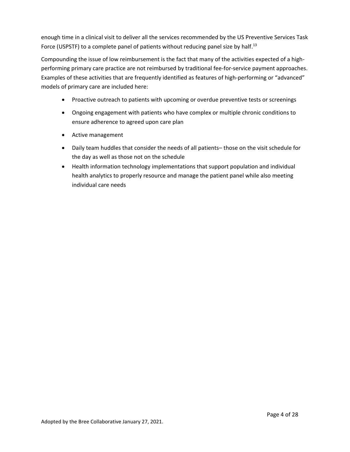enough time in a clinical visit to deliver all the services recommended by the US Preventive Services Task Force (USPSTF) to a complete panel of patients without reducing panel size by half.<sup>13</sup>

Compounding the issue of low reimbursement is the fact that many of the activities expected of a highperforming primary care practice are not reimbursed by traditional fee-for-service payment approaches. Examples of these activities that are frequently identified as features of high-performing or "advanced" models of primary care are included here:

- Proactive outreach to patients with upcoming or overdue preventive tests or screenings
- Ongoing engagement with patients who have complex or multiple chronic conditions to ensure adherence to agreed upon care plan
- $\bullet$  Active management
- Daily team huddles that consider the needs of all patients– those on the visit schedule for the day as well as those not on the schedule
- Health information technology implementations that support population and individual health analytics to properly resource and manage the patient panel while also meeting individual care needs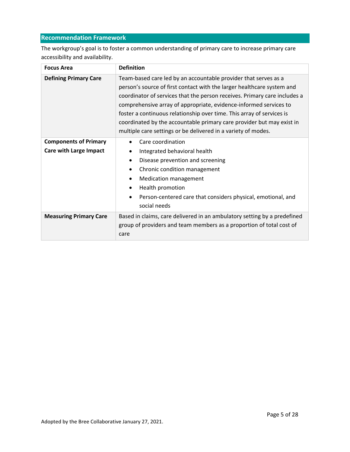# <span id="page-6-0"></span>**Recommendation Framework**

The workgroup's goal is to foster a common understanding of primary care to increase primary care accessibility and availability.

| <b>Focus Area</b>                                             | <b>Definition</b>                                                                                                                                                                                                                                                                                                                                                                                                                                                                                              |  |
|---------------------------------------------------------------|----------------------------------------------------------------------------------------------------------------------------------------------------------------------------------------------------------------------------------------------------------------------------------------------------------------------------------------------------------------------------------------------------------------------------------------------------------------------------------------------------------------|--|
| <b>Defining Primary Care</b>                                  | Team-based care led by an accountable provider that serves as a<br>person's source of first contact with the larger healthcare system and<br>coordinator of services that the person receives. Primary care includes a<br>comprehensive array of appropriate, evidence-informed services to<br>foster a continuous relationship over time. This array of services is<br>coordinated by the accountable primary care provider but may exist in<br>multiple care settings or be delivered in a variety of modes. |  |
| <b>Components of Primary</b><br><b>Care with Large Impact</b> | Care coordination<br>Integrated behavioral health<br>Disease prevention and screening<br>$\bullet$<br>Chronic condition management<br>$\bullet$<br><b>Medication management</b><br>Health promotion<br>Person-centered care that considers physical, emotional, and<br>social needs                                                                                                                                                                                                                            |  |
| <b>Measuring Primary Care</b>                                 | Based in claims, care delivered in an ambulatory setting by a predefined<br>group of providers and team members as a proportion of total cost of<br>care                                                                                                                                                                                                                                                                                                                                                       |  |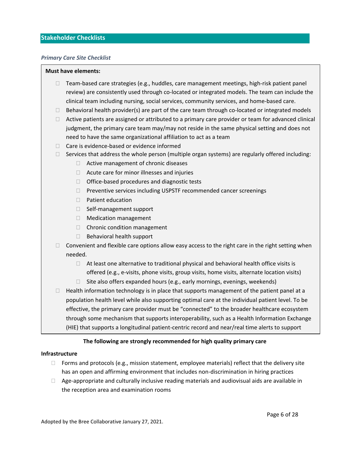## <span id="page-7-0"></span>**Stakeholder Checklists**

#### <span id="page-7-1"></span>*Primary Care Site Checklist*

#### **Must have elements:**

- $\Box$  Team-based care strategies (e.g., huddles, care management meetings, high-risk patient panel review) are consistently used through co-located or integrated models. The team can include the clinical team including nursing, social services, community services, and home-based care.
- $\Box$  Behavioral health provider(s) are part of the care team through co-located or integrated models
- $\Box$  Active patients are assigned or attributed to a primary care provider or team for advanced clinical judgment, the primary care team may/may not reside in the same physical setting and does not need to have the same organizational affiliation to act as a team
- $\Box$  Care is evidence-based or evidence informed
- $\Box$  Services that address the whole person (multiple organ systems) are regularly offered including:
	- $\Box$  Active management of chronic diseases
	- $\Box$  Acute care for minor illnesses and injuries
	- $\Box$  Office-based procedures and diagnostic tests
	- $\Box$  Preventive services including USPSTF recommended cancer screenings
	- $\Box$  Patient education
	- $\Box$  Self-management support
	- □ Medication management
	- $\Box$  Chronic condition management
	- $\Box$  Behavioral health support
- $\Box$  Convenient and flexible care options allow easy access to the right care in the right setting when needed.
	- $\Box$  At least one alternative to traditional physical and behavioral health office visits is offered (e.g., e-visits, phone visits, group visits, home visits, alternate location visits)
	- $\Box$  Site also offers expanded hours (e.g., early mornings, evenings, weekends)
- $\Box$  Health information technology is in place that supports management of the patient panel at a population health level while also supporting optimal care at the individual patient level. To be effective, the primary care provider must be "connected" to the broader healthcare ecosystem through some mechanism that supports interoperability, such as a Health Information Exchange (HIE) that supports a longitudinal patient-centric record and near/real time alerts to support

# The following are strongly recommended for high quality primary care

#### **Infrastructure**

- $\Box$  Forms and protocols (e.g., mission statement, employee materials) reflect that the delivery site has an open and affirming environment that includes non-discrimination in hiring practices
- $\Box$  Age-appropriate and culturally inclusive reading materials and audiovisual aids are available in the reception area and examination rooms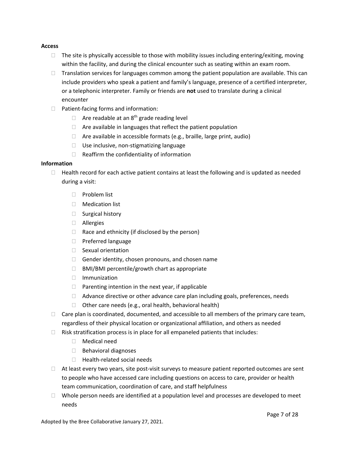#### **Access**

- $\Box$  The site is physically accessible to those with mobility issues including entering/exiting, moving within the facility, and during the clinical encounter such as seating within an exam room.
- $\Box$  Translation services for languages common among the patient population are available. This can include providers who speak a patient and family's language, presence of a certified interpreter, or a telephonic interpreter. Family or friends are **not** used to translate during a clinical encounter
- $\Box$  Patient-facing forms and information:
	- $\Box$  Are readable at an 8<sup>th</sup> grade reading level
	- $\Box$  Are available in languages that reflect the patient population
	- $\Box$  Are available in accessible formats (e.g., braille, large print, audio)
	- $\Box$  Use inclusive, non-stigmatizing language
	- $\Box$  Reaffirm the confidentiality of information

## **Information**

- $\Box$  Health record for each active patient contains at least the following and is updated as needed during a visit:
	- $\Box$  Problem list
	- Medication list
	- $\Box$  Surgical history
	- Allergies
	- $\Box$  Race and ethnicity (if disclosed by the person)
	- □ Preferred language
	- □ Sexual orientation
	- $\Box$  Gender identity, chosen pronouns, and chosen name
	- $\Box$  BMI/BMI percentile/growth chart as appropriate
	- Immunization
	- $\Box$  Parenting intention in the next year, if applicable
	- $\Box$  Advance directive or other advance care plan including goals, preferences, needs
	- $\Box$  Other care needs (e.g., oral health, behavioral health)
- $\Box$  Care plan is coordinated, documented, and accessible to all members of the primary care team, regardless of their physical location or organizational affiliation, and others as needed
- $\Box$  Risk stratification process is in place for all empaneled patients that includes:
	- Medical need
	- $\Box$  Behavioral diagnoses
	- $\Box$  Health-related social needs
- $\Box$  At least every two years, site post-visit surveys to measure patient reported outcomes are sent to people who have accessed care including questions on access to care, provider or health team communication, coordination of care, and staff helpfulness
- $\Box$  Whole person needs are identified at a population level and processes are developed to meet needs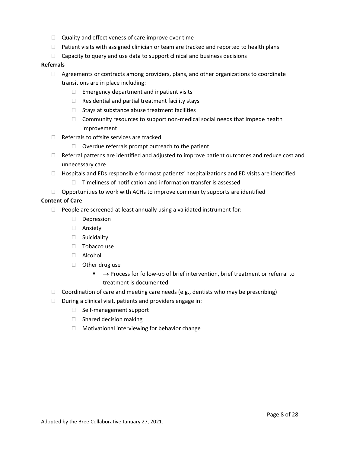- $\Box$  Quality and effectiveness of care improve over time
- $\Box$  Patient visits with assigned clinician or team are tracked and reported to health plans
- $\Box$  Capacity to query and use data to support clinical and business decisions

#### **Referrals**

- $\Box$  Agreements or contracts among providers, plans, and other organizations to coordinate transitions are in place including:
	- $\Box$  Emergency department and inpatient visits
	- $\Box$  Residential and partial treatment facility stays
	- $\Box$  Stays at substance abuse treatment facilities
	- $\Box$  Community resources to support non-medical social needs that impede health improvement
- $\Box$  Referrals to offsite services are tracked
	- $\Box$  Overdue referrals prompt outreach to the patient
- $\Box$  Referral patterns are identified and adjusted to improve patient outcomes and reduce cost and unnecessary care
- $\Box$  Hospitals and EDs responsible for most patients' hospitalizations and ED visits are identified
	- $\Box$  Timeliness of notification and information transfer is assessed
- $\Box$  Opportunities to work with ACHs to improve community supports are identified

#### **Content of Care**

- $\Box$  People are screened at least annually using a validated instrument for:
	- Depression
	- Anxiety
	- □ Suicidality
	- $\Box$  Tobacco use
	- Alcohol
	- □ Other drug use
		- $\blacksquare$   $\rightarrow$  Process for follow-up of brief intervention, brief treatment or referral to treatment is documented
- $\Box$  Coordination of care and meeting care needs (e.g., dentists who may be prescribing)
- $\Box$  During a clinical visit, patients and providers engage in:
	- □ Self-management support
	- $\Box$  Shared decision making
	- $\Box$  Motivational interviewing for behavior change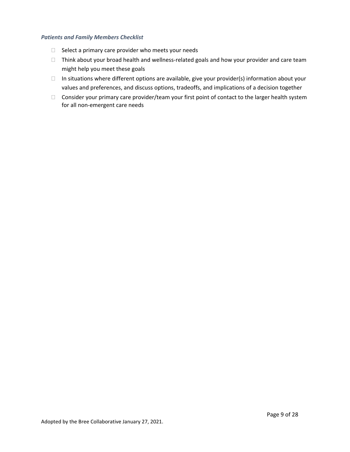## <span id="page-10-0"></span>*Patients and Family Members Checklist*

- $\Box$  Select a primary care provider who meets your needs
- $\Box$  Think about your broad health and wellness-related goals and how your provider and care team might help you meet these goals
- $\Box$  In situations where different options are available, give your provider(s) information about your values and preferences, and discuss options, tradeoffs, and implications of a decision together
- $\Box$  Consider your primary care provider/team your first point of contact to the larger health system for all non-emergent care needs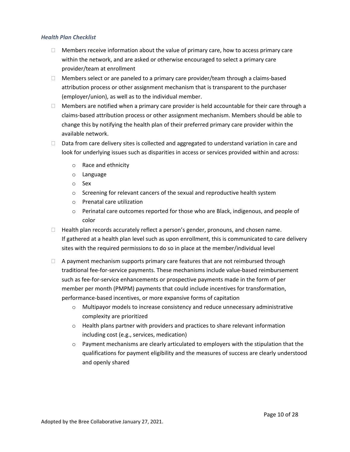## <span id="page-11-0"></span>*Health Plan Checklist*

- $\Box$  Members receive information about the value of primary care, how to access primary care within the network, and are asked or otherwise encouraged to select a primary care provider/team at enrollment
- $\Box$  Members select or are paneled to a primary care provider/team through a claims-based attribution process or other assignment mechanism that is transparent to the purchaser (employer/union), as well as to the individual member.
- $\Box$  Members are notified when a primary care provider is held accountable for their care through a claims-based attribution process or other assignment mechanism. Members should be able to change this by notifying the health plan of their preferred primary care provider within the available network.
- $\Box$  Data from care delivery sites is collected and aggregated to understand variation in care and look for underlying issues such as disparities in access or services provided within and across:
	- o Race and ethnicity
	- o Language
	- o Sex
	- o Screening for relevant cancers of the sexual and reproductive health system
	- o Prenatal care utilization
	- $\circ$  Perinatal care outcomes reported for those who are Black, indigenous, and people of color
- $\Box$  Health plan records accurately reflect a person's gender, pronouns, and chosen name. If gathered at a health plan level such as upon enrollment, this is communicated to care delivery sites with the required permissions to do so in place at the member/individual level
- $\Box$  A payment mechanism supports primary care features that are not reimbursed through traditional fee-for-service payments. These mechanisms include value-based reimbursement such as fee-for-service enhancements or prospective payments made in the form of per member per month (PMPM) payments that could include incentives for transformation, performance-based incentives, or more expansive forms of capitation
	- $\circ$  Multipayor models to increase consistency and reduce unnecessary administrative complexity are prioritized
	- $\circ$  Health plans partner with providers and practices to share relevant information including cost (e.g., services, medication)
	- $\circ$  Payment mechanisms are clearly articulated to employers with the stipulation that the qualifications for payment eligibility and the measures of success are clearly understood and openly shared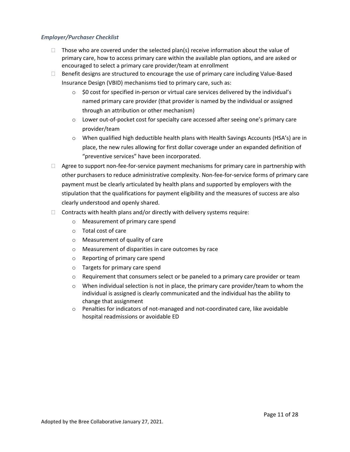## <span id="page-12-0"></span>*Employer/Purchaser Checklist*

- $\Box$  Those who are covered under the selected plan(s) receive information about the value of primary care, how to access primary care within the available plan options, and are asked or encouraged to select a primary care provider/team at enrollment
- $\Box$  Benefit designs are structured to encourage the use of primary care including Value-Based Insurance Design (VBID) mechanisms tied to primary care, such as:
	- $\circ$  \$0 cost for specified in-person or virtual care services delivered by the individual's named primary care provider (that provider is named by the individual or assigned through an attribution or other mechanism)
	- $\circ$  Lower out-of-pocket cost for specialty care accessed after seeing one's primary care provider/team
	- o When qualified high deductible health plans with Health Savings Accounts (HSA's) are in place, the new rules allowing for first dollar coverage under an expanded definition of "preventive services" have been incorporated.
- $\Box$  Agree to support non-fee-for-service payment mechanisms for primary care in partnership with other purchasers to reduce administrative complexity. Non-fee-for-service forms of primary care payment must be clearly articulated by health plans and supported by employers with the stipulation that the qualifications for payment eligibility and the measures of success are also clearly understood and openly shared.
- $\Box$  Contracts with health plans and/or directly with delivery systems require:
	- o Measurement of primary care spend
	- o Total cost of care
	- o Measurement of quality of care
	- o Measurement of disparities in care outcomes by race
	- o Reporting of primary care spend
	- o Targets for primary care spend
	- $\circ$  Requirement that consumers select or be paneled to a primary care provider or team
	- $\circ$  When individual selection is not in place, the primary care provider/team to whom the individual is assigned is clearly communicated and the individual has the ability to change that assignment
	- $\circ$  Penalties for indicators of not-managed and not-coordinated care, like avoidable hospital readmissions or avoidable ED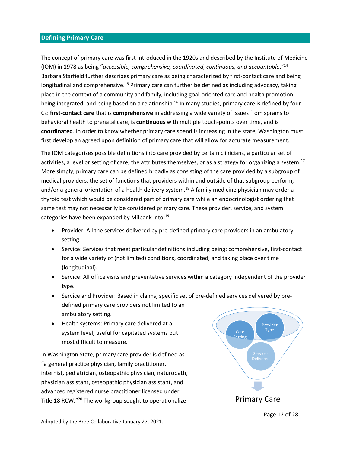## <span id="page-13-0"></span>**Defining Primary Care**

The concept of primary care was first introduced in the 1920s and described by the Institute of Medicine (IOM) in 1978 as being "*accessible, comprehensive, coordinated, continuous, and accountable*."<sup>14</sup> Barbara Starfield further describes primary care as being characterized by first-contact care and being longitudinal and comprehensive.<sup>15</sup> Primary care can further be defined as including advocacy, taking place in the context of a community and family, including goal-oriented care and health promotion, being integrated, and being based on a relationship.<sup>16</sup> In many studies, primary care is defined by four Cs: **first-contact care** that is **comprehensive** in addressing a wide variety of issues from sprains to behavioral health to prenatal care, is **continuous** with multiple touch-points over time, and is **coordinated**. In order to know whether primary care spend is increasing in the state, Washington must first develop an agreed upon definition of primary care that will allow for accurate measurement.

The IOM categorizes possible definitions into care provided by certain clinicians, a particular set of activities, a level or setting of care, the attributes themselves, or as a strategy for organizing a system.<sup>17</sup> More simply, primary care can be defined broadly as consisting of the care provided by a subgroup of medical providers, the set of functions that providers within and outside of that subgroup perform, and/or a general orientation of a health delivery system.<sup>18</sup> A family medicine physician may order a thyroid test which would be considered part of primary care while an endocrinologist ordering that same test may not necessarily be considered primary care. These provider, service, and system categories have been expanded by Milbank into:<sup>19</sup>

- Provider: All the services delivered by pre-defined primary care providers in an ambulatory setting.
- Service: Services that meet particular definitions including being: comprehensive, first-contact for a wide variety of (not limited) conditions, coordinated, and taking place over time (longitudinal).
- Service: All office visits and preventative services within a category independent of the provider type.
- Service and Provider: Based in claims, specific set of pre-defined services delivered by predefined primary care providers not limited to an ambulatory setting.
- Health systems: Primary care delivered at a system level, useful for capitated systems but most difficult to measure.

In Washington State, primary care provider is defined as "a general practice physician, family practitioner, internist, pediatrician, osteopathic physician, naturopath, physician assistant, osteopathic physician assistant, and advanced registered nurse practitioner licensed under Title 18 RCW."<sup>20</sup> The workgroup sought to operationalize **Primary Care** 

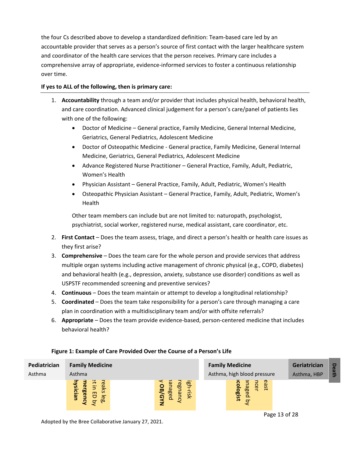the four Cs described above to develop a standardized definition: Team-based care led by an accountable provider that serves as a person's source of first contact with the larger healthcare system and coordinator of the health care services that the person receives. Primary care includes a comprehensive array of appropriate, evidence-informed services to foster a continuous relationship over time.

## **If yes to ALL of the following, then is primary care:**

- 1. **Accountability** through a team and/or provider that includes physical health, behavioral health, and care coordination. Advanced clinical judgement for a person's care/panel of patients lies with one of the following:
	- Doctor of Medicine General practice, Family Medicine, General Internal Medicine, Geriatrics, General Pediatrics, Adolescent Medicine
	- Doctor of Osteopathic Medicine General practice, Family Medicine, General Internal Medicine, Geriatrics, General Pediatrics, Adolescent Medicine
	- Advance Registered Nurse Practitioner General Practice, Family, Adult, Pediatric, Women's Health
	- Physician Assistant General Practice, Family, Adult, Pediatric, Women's Health
	- Osteopathic Physician Assistant General Practice, Family, Adult, Pediatric, Women's **Health**

Other team members can include but are not limited to: naturopath, psychologist, psychiatrist, social worker, registered nurse, medical assistant, care coordinator, etc.

- 2. **First Contact** Does the team assess, triage, and direct a person's health or health care issues as they first arise?
- 3. **Comprehensive** Does the team care for the whole person and provide services that address multiple organ systems including active management of chronic physical (e.g., COPD, diabetes) and behavioral health (e.g., depression, anxiety, substance use disorder) conditions as well as USPSTF recommended screening and preventive services?
- 4. **Continuous** Does the team maintain or attempt to develop a longitudinal relationship?
- 5. **Coordinated** Does the team take responsibility for a person's care through managing a care plan in coordination with a multidisciplinary team and/or with offsite referrals?
- 6. **Appropriate** Does the team provide evidence-based, person-centered medicine that includes behavioral health?



## **Figure 1: Example of Care Provided Over the Course of a Person's Life**

Adopted by the Bree Collaborative January 27, 2021.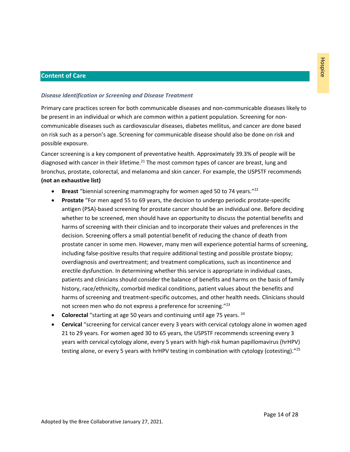## <span id="page-15-0"></span>**Content of Care**

#### <span id="page-15-1"></span>*Disease Identification or Screening and Disease Treatment*

Primary care practices screen for both communicable diseases and non-communicable diseases likely to be present in an individual or which are common within a patient population. Screening for noncommunicable diseases such as cardiovascular diseases, diabetes mellitus, and cancer are done based on risk such as a person's age. Screening for communicable disease should also be done on risk and possible exposure.

Cancer screening is a key component of preventative health. Approximately 39.3% of people will be diagnosed with cancer in their lifetime.<sup>21</sup> The most common types of cancer are breast, lung and bronchus, prostate, colorectal, and melanoma and skin cancer. For example, the USPSTF recommends **(not an exhaustive list)**

- **Breast** "biennial screening mammography for women aged 50 to 74 years." 22
- **Prostate** "For men aged 55 to 69 years, the decision to undergo periodic prostate-specific antigen (PSA)-based screening for prostate cancer should be an individual one. Before deciding whether to be screened, men should have an opportunity to discuss the potential benefits and harms of screening with their clinician and to incorporate their values and preferences in the decision. Screening offers a small potential benefit of reducing the chance of death from prostate cancer in some men. However, many men will experience potential harms of screening, including false-positive results that require additional testing and possible prostate biopsy; overdiagnosis and overtreatment; and treatment complications, such as incontinence and erectile dysfunction. In determining whether this service is appropriate in individual cases, patients and clinicians should consider the balance of benefits and harms on the basis of family history, race/ethnicity, comorbid medical conditions, patient values about the benefits and harms of screening and treatment-specific outcomes, and other health needs. Clinicians should not screen men who do not express a preference for screening."<sup>23</sup>
- **Colorectal** "starting at age 50 years and continuing until age 75 years. <sup>24</sup>
- **Cervical** "screening for cervical cancer every 3 years with cervical cytology alone in women aged 21 to 29 years. For women aged 30 to 65 years, the USPSTF recommends screening every 3 years with cervical cytology alone, every 5 years with high-risk human papillomavirus (hrHPV) testing alone, or every 5 years with hrHPV testing in combination with cytology (cotesting)."<sup>25</sup>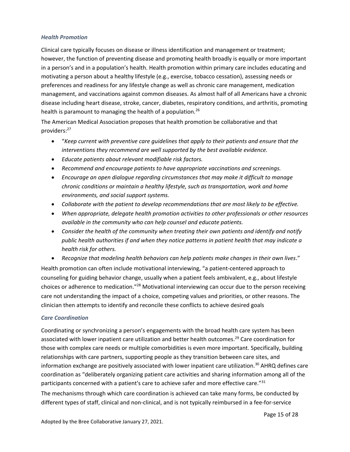## <span id="page-16-0"></span>*Health Promotion*

Clinical care typically focuses on disease or illness identification and management or treatment; however, the function of preventing disease and promoting health broadly is equally or more important in a person's and in a population's health. Health promotion within primary care includes educating and motivating a person about a healthy lifestyle (e.g., exercise, tobacco cessation), assessing needs or preferences and readiness for any lifestyle change as well as chronic care management, medication management, and vaccinations against common diseases. As almost half of all Americans have a chronic disease including heart disease, stroke, cancer, diabetes, respiratory conditions, and arthritis, promoting health is paramount to managing the health of a population.<sup>26</sup>

The American Medical Association proposes that health promotion be collaborative and that providers: 27

- "*Keep current with preventive care guidelines that apply to their patients and ensure that the interventions they recommend are well supported by the best available evidence.*
- *Educate patients about relevant modifiable risk factors.*
- *Recommend and encourage patients to have appropriate vaccinations and screenings.*
- *Encourage an open dialogue regarding circumstances that may make it difficult to manage chronic conditions or maintain a healthy lifestyle, such as transportation, work and home environments, and social support systems.*
- *Collaborate with the patient to develop recommendations that are most likely to be effective.*
- *When appropriate, delegate health promotion activities to other professionals or other resources available in the community who can help counsel and educate patients.*
- *Consider the health of the community when treating their own patients and identify and notify public health authorities if and when they notice patterns in patient health that may indicate a health risk for others.*
- *Recognize that modeling health behaviors can help patients make changes in their own lives*."

Health promotion can often include motivational interviewing, "a patient-centered approach to counseling for guiding behavior change, usually when a patient feels ambivalent, e.g., about lifestyle choices or adherence to medication."<sup>28</sup> Motivational interviewing can occur due to the person receiving care not understanding the impact of a choice, competing values and priorities, or other reasons. The clinician then attempts to identify and reconcile these conflicts to achieve desired goals

## <span id="page-16-1"></span>*Care Coordination*

Coordinating or synchronizing a person's engagements with the broad health care system has been associated with lower inpatient care utilization and better health outcomes.<sup>29</sup> Care coordination for those with complex care needs or multiple comorbidities is even more important. Specifically, building relationships with care partners, supporting people as they transition between care sites, and information exchange are positively associated with lower inpatient care utilization.<sup>30</sup> AHRQ defines care coordination as "deliberately organizing patient care activities and sharing information among all of the participants concerned with a patient's care to achieve safer and more effective care."<sup>31</sup>

The mechanisms through which care coordination is achieved can take many forms, be conducted by different types of staff, clinical and non-clinical, and is not typically reimbursed in a fee-for-service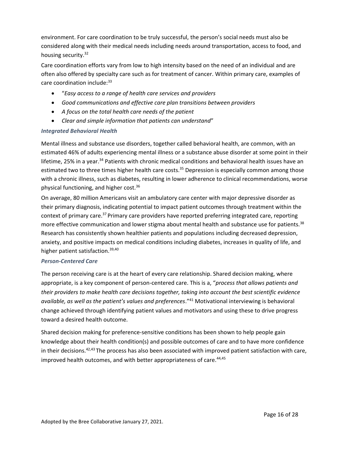environment. For care coordination to be truly successful, the person's social needs must also be considered along with their medical needs including needs around transportation, access to food, and housing security.<sup>32</sup>

Care coordination efforts vary from low to high intensity based on the need of an individual and are often also offered by specialty care such as for treatment of cancer. Within primary care, examples of care coordination include: 33

- "*Easy access to a range of health care services and providers*
- *Good communications and effective care plan transitions between providers*
- *A focus on the total health care needs of the patient*
- *Clear and simple information that patients can understand*"

## <span id="page-17-0"></span>*Integrated Behavioral Health*

Mental illness and substance use disorders, together called behavioral health, are common, with an estimated 46% of adults experiencing mental illness or a substance abuse disorder at some point in their lifetime, 25% in a year.<sup>34</sup> Patients with chronic medical conditions and behavioral health issues have an estimated two to three times higher health care costs.<sup>35</sup> Depression is especially common among those with a chronic illness, such as diabetes, resulting in lower adherence to clinical recommendations, worse physical functioning, and higher cost.<sup>36</sup>

On average, 80 million Americans visit an ambulatory care center with major depressive disorder as their primary diagnosis, indicating potential to impact patient outcomes through treatment within the context of primary care.<sup>37</sup> Primary care providers have reported preferring integrated care, reporting more effective communication and lower stigma about mental health and substance use for patients.<sup>38</sup> Research has consistently shown healthier patients and populations including decreased depression, anxiety, and positive impacts on medical conditions including diabetes, increases in quality of life, and higher patient satisfaction.<sup>39,40</sup>

#### <span id="page-17-1"></span>*Person-Centered Care*

The person receiving care is at the heart of every care relationship. Shared decision making, where appropriate, is a key component of person-centered care. This is a, "*process that allows patients and their providers to make health care decisions together, taking into account the best scientific evidence available, as well as the patient's values and preferences*."<sup>41</sup> Motivational interviewing is behavioral change achieved through identifying patient values and motivators and using these to drive progress toward a desired health outcome.

Shared decision making for preference-sensitive conditions has been shown to help people gain knowledge about their health condition(s) and possible outcomes of care and to have more confidence in their decisions. $42,43$  The process has also been associated with improved patient satisfaction with care, improved health outcomes, and with better appropriateness of care.<sup>44,45</sup>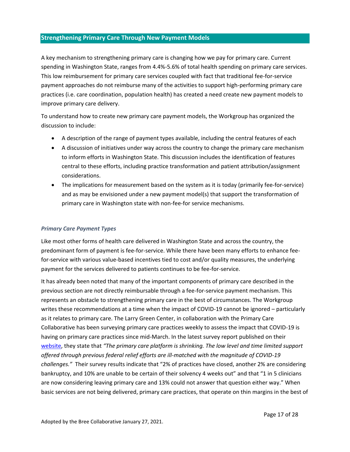# <span id="page-18-0"></span>**Strengthening Primary Care Through New Payment Models**

A key mechanism to strengthening primary care is changing how we pay for primary care. Current spending in Washington State, ranges from 4.4%-5.6% of total health spending on primary care services. This low reimbursement for primary care services coupled with fact that traditional fee-for-service payment approaches do not reimburse many of the activities to support high-performing primary care practices (i.e. care coordination, population health) has created a need create new payment models to improve primary care delivery.

To understand how to create new primary care payment models, the Workgroup has organized the discussion to include:

- A description of the range of payment types available, including the central features of each
- A discussion of initiatives under way across the country to change the primary care mechanism to inform efforts in Washington State. This discussion includes the identification of features central to these efforts, including practice transformation and patient attribution/assignment considerations.
- The implications for measurement based on the system as it is today (primarily fee-for-service) and as may be envisioned under a new payment model(s) that support the transformation of primary care in Washington state with non-fee-for service mechanisms.

#### <span id="page-18-1"></span>*Primary Care Payment Types*

Like most other forms of health care delivered in Washington State and across the country, the predominant form of payment is fee-for-service. While there have been many efforts to enhance feefor-service with various value-based incentives tied to cost and/or quality measures, the underlying payment for the services delivered to patients continues to be fee-for-service.

It has already been noted that many of the important components of primary care described in the previous section are not directly reimbursable through a fee-for-service payment mechanism. This represents an obstacle to strengthening primary care in the best of circumstances. The Workgroup writes these recommendations at a time when the impact of COVID-19 cannot be ignored – particularly as it relates to primary care. The Larry Green Center, in collaboration with the Primary Care Collaborative has been surveying primary care practices weekly to assess the impact that COVID-19 is having on primary care practices since mid-March. In the latest survey report published on their [website,](https://static1.squarespace.com/static/5d7ff8184cf0e01e4566cb02/t/5f47defcceda12236bb2d660/1598545661461/C19+Series+19+National+Executive+Summary.pdf) they state that *"The primary care platform is shrinking. The low level and time limited support offered through previous federal relief efforts are ill-matched with the magnitude of COVID-19 challenges."* Their survey results indicate that "2% of practices have closed, another 2% are considering bankruptcy, and 10% are unable to be certain of their solvency 4 weeks out" and that "1 in 5 clinicians are now considering leaving primary care and 13% could not answer that question either way." When basic services are not being delivered, primary care practices, that operate on thin margins in the best of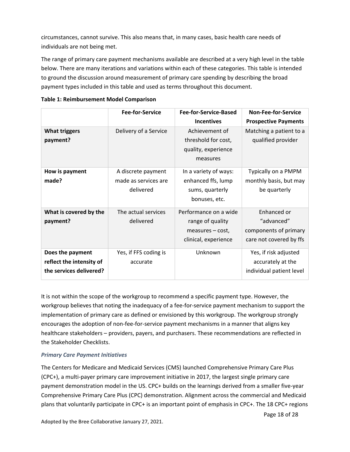circumstances, cannot survive. This also means that, in many cases, basic health care needs of individuals are not being met.

The range of primary care payment mechanisms available are described at a very high level in the table below. There are many iterations and variations within each of these categories. This table is intended to ground the discussion around measurement of primary care spending by describing the broad payment types included in this table and used as terms throughout this document.

|                                                                         | <b>Fee-for-Service</b>                                  | Fee-for-Service-Based                                                                   | <b>Non-Fee-for-Service</b>                                                    |
|-------------------------------------------------------------------------|---------------------------------------------------------|-----------------------------------------------------------------------------------------|-------------------------------------------------------------------------------|
|                                                                         |                                                         | <b>Incentives</b>                                                                       | <b>Prospective Payments</b>                                                   |
| <b>What triggers</b><br>payment?                                        | Delivery of a Service                                   | Achievement of<br>threshold for cost,<br>quality, experience<br>measures                | Matching a patient to a<br>qualified provider                                 |
| How is payment<br>made?                                                 | A discrete payment<br>made as services are<br>delivered | In a variety of ways:<br>enhanced ffs, lump<br>sums, quarterly<br>bonuses, etc.         | Typically on a PMPM<br>monthly basis, but may<br>be quarterly                 |
| What is covered by the<br>payment?                                      | The actual services<br>delivered                        | Performance on a wide<br>range of quality<br>$measures - cost,$<br>clinical, experience | Enhanced or<br>"advanced"<br>components of primary<br>care not covered by ffs |
| Does the payment<br>reflect the intensity of<br>the services delivered? | Yes, if FFS coding is<br>accurate                       | Unknown                                                                                 | Yes, if risk adjusted<br>accurately at the<br>individual patient level        |

| <b>Table 1: Reimbursement Model Comparison</b> |  |  |  |  |  |
|------------------------------------------------|--|--|--|--|--|
|------------------------------------------------|--|--|--|--|--|

It is not within the scope of the workgroup to recommend a specific payment type. However, the workgroup believes that noting the inadequacy of a fee-for-service payment mechanism to support the implementation of primary care as defined or envisioned by this workgroup. The workgroup strongly encourages the adoption of non-fee-for-service payment mechanisms in a manner that aligns key healthcare stakeholders – providers, payers, and purchasers. These recommendations are reflected in the Stakeholder Checklists.

# *Primary Care Payment Initiatives*

The Centers for Medicare and Medicaid Services (CMS) launched Comprehensive Primary Care Plus (CPC+), a multi-payer primary care improvement initiative in 2017, the largest single primary care payment demonstration model in the US. CPC+ builds on the learnings derived from a smaller five-year Comprehensive Primary Care Plus (CPC) demonstration. Alignment across the commercial and Medicaid plans that voluntarily participate in CPC+ is an important point of emphasis in CPC+. The 18 CPC+ regions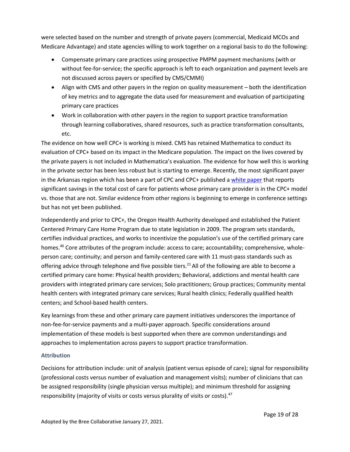were selected based on the number and strength of private payers (commercial, Medicaid MCOs and Medicare Advantage) and state agencies willing to work together on a regional basis to do the following:

- Compensate primary care practices using prospective PMPM payment mechanisms (with or without fee-for-service; the specific approach is left to each organization and payment levels are not discussed across payers or specified by CMS/CMMI)
- Align with CMS and other payers in the region on quality measurement both the identification of key metrics and to aggregate the data used for measurement and evaluation of participating primary care practices
- Work in collaboration with other payers in the region to support practice transformation through learning collaboratives, shared resources, such as practice transformation consultants, etc.

The evidence on how well CPC+ is working is mixed. CMS has retained Mathematica to conduct its evaluation of CPC+ based on its impact in the Medicare population. The impact on the lives covered by the private payers is not included in Mathematica's evaluation. The evidence for how well this is working in the private sector has been less robust but is starting to emerge. Recently, the most significant payer in the Arkansas region which has been a part of CPC and CPC+ published a [white paper](https://www.milbank.org/publications/value-based-primary-care-insights-from-a-commercial-insurer-in-arkansas/) that reports significant savings in the total cost of care for patients whose primary care provider is in the CPC+ model vs. those that are not. Similar evidence from other regions is beginning to emerge in conference settings but has not yet been published.

Independently and prior to CPC+, the Oregon Health Authority developed and established the Patient Centered Primary Care Home Program due to state legislation in 2009. The program sets standards, certifies individual practices, and works to incentivize the population's use of the certified primary care homes.<sup>46</sup> Core attributes of the program include: access to care; accountability; comprehensive, wholeperson care; continuity; and person and family-centered care with 11 must-pass standards such as offering advice through telephone and five possible tiers.<sup>21</sup> All of the following are able to become a certified primary care home: Physical health providers; Behavioral, addictions and mental health care providers with integrated primary care services; Solo practitioners; Group practices; Community mental health centers with integrated primary care services; Rural health clinics; Federally qualified health centers; and School-based health centers.

Key learnings from these and other primary care payment initiatives underscores the importance of non-fee-for-service payments and a multi-payer approach. Specific considerations around implementation of these models is best supported when there are common understandings and approaches to implementation across payers to support practice transformation.

## <span id="page-20-0"></span>**Attribution**

Decisions for attribution include: unit of analysis (patient versus episode of care); signal for responsibility (professional costs versus number of evaluation and management visits); number of clinicians that can be assigned responsibility (single physician versus multiple); and minimum threshold for assigning responsibility (majority of visits or costs versus plurality of visits or costs).<sup>47</sup>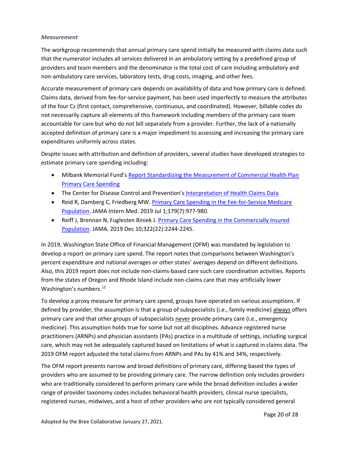#### <span id="page-21-0"></span>*Measurement*

The workgroup recommends that annual primary care spend initially be measured with claims data such that the numerator includes all services delivered in an ambulatory setting by a predefined group of providers and team members and the denominator is the total cost of care including ambulatory and non-ambulatory care services, laboratory tests, drug costs, imaging, and other fees.

Accurate measurement of primary care depends on availability of data and how primary care is defined. Claims data, derived from fee-for-service payment, has been used imperfectly to measure the attributes of the four Cs (first contact, comprehensive, continuous, and coordinated). However, billable codes do not necessarily capture all elements of this framework including members of the primary care team accountable for care but who do not bill separately from a provider. Further, the lack of a nationally accepted definition of primary care is a major impediment to assessing and increasing the primary care expenditures uniformly across states.

Despite issues with attribution and definition of providers, several studies have developed strategies to estimate primary care spending including:

- Milbank Memorial Fund's Report Standardizing the Measurement of Commercial Health Plan [Primary Care Spending](https://www.milbank.org/wp-content/uploads/2017/07/MMF-Primary-Care-Spending-Report.pdf)
- The Center for Disease Control and Prevention's [Interpretation of Health Claims Data](https://www.cdc.gov/workplacehealthpromotion/model/healthcare-cost-data/interpreting.html)
- Reid R, Damberg C, Friedberg MW. [Primary Care Spending in the Fee-for-Service Medicare](https://www.ncbi.nlm.nih.gov/pmc/articles/PMC6583869/)  [Population.](https://www.ncbi.nlm.nih.gov/pmc/articles/PMC6583869/) JAMA Intern Med. 2019 Jul 1;179(7):977-980.
- Reiff J, Brennan N, Fuglesten Biniek J. [Primary Care Spending in the Commercially Insured](https://www.ncbi.nlm.nih.gov/pmc/articles/PMC7081755/)  [Population.](https://www.ncbi.nlm.nih.gov/pmc/articles/PMC7081755/) JAMA. 2019 Dec 10;322(22):2244-2245.

In 2019, Washington State Office of Financial Management (OFM) was mandated by legislation to develop a report on primary care spend. The report notes that comparisons between Washington's percent expenditure and national averages or other states' averages depend on different definitions. Also, this 2019 report does not include non-claims-based care such care coordination activities. Reports from the states of Oregon and Rhode Island include non-claims care that may artificially lower Washington's numbers.<sup>[12](#page-4-1)</sup>

To develop a proxy measure for primary care spend, groups have operated on various assumptions. If defined by provider, the assumption is that a group of subspecialists (i.e., family medicine) always offers primary care and that other groups of subspecialists never provide primary care (i.e., emergency medicine). This assumption holds true for some but not all disciplines. Advance registered nurse practitioners (ARNPs) and physician assistants (PAs) practice in a multitude of settings, including surgical care, which may not be adequately captured based on limitations of what is captured in claims data. The 2019 OFM report adjusted the total claims from ARNPs and PAs by 41% and 34%, respectively.

The OFM report presents narrow and broad definitions of primary care, differing based the types of providers who are assumed to be providing primary care. The narrow definition only includes providers who are traditionally considered to perform primary care while the broad definition includes a wider range of provider taxonomy codes includes behavioral health providers, clinical nurse specialists, registered nurses, midwives, and a host of other providers who are not typically considered general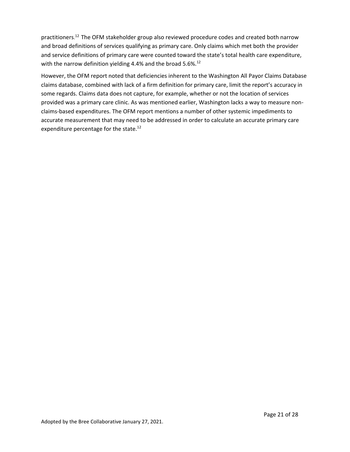practitioners. [12](#page-4-1) The OFM stakeholder group also reviewed procedure codes and created both narrow and broad definitions of services qualifying as primary care. Only claims which met both the provider and service definitions of primary care were counted toward the state's total health care expenditure, with the narrow definition yielding 4.4% and the broad 5.6%. $^{12}$  $^{12}$  $^{12}$ 

However, the OFM report noted that deficiencies inherent to the Washington All Payor Claims Database claims database, combined with lack of a firm definition for primary care, limit the report's accuracy in some regards. Claims data does not capture, for example, whether or not the location of services provided was a primary care clinic. As was mentioned earlier, Washington lacks a way to measure nonclaims-based expenditures. The OFM report mentions a number of other systemic impediments to accurate measurement that may need to be addressed in order to calculate an accurate primary care expenditure percentage for the state.<sup>[12](#page-4-1)</sup>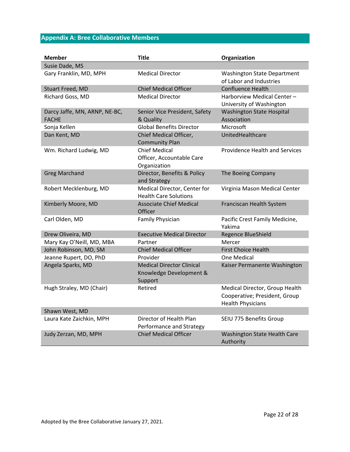# <span id="page-23-0"></span>**Appendix A: Bree Collaborative Members**

| <b>Member</b>                                 | <b>Title</b>                                                           | Organization                                                                                |
|-----------------------------------------------|------------------------------------------------------------------------|---------------------------------------------------------------------------------------------|
| Susie Dade, MS                                |                                                                        |                                                                                             |
| Gary Franklin, MD, MPH                        | <b>Medical Director</b>                                                | <b>Washington State Department</b><br>of Labor and Industries                               |
| <b>Stuart Freed, MD</b>                       | <b>Chief Medical Officer</b>                                           | <b>Confluence Health</b>                                                                    |
| Richard Goss, MD                              | <b>Medical Director</b>                                                | Harborview Medical Center -<br>University of Washington                                     |
| Darcy Jaffe, MN, ARNP, NE-BC,<br><b>FACHE</b> | Senior Vice President, Safety<br>& Quality                             | <b>Washington State Hospital</b><br>Association                                             |
| Sonja Kellen                                  | <b>Global Benefits Director</b>                                        | Microsoft                                                                                   |
| Dan Kent, MD                                  | Chief Medical Officer,<br><b>Community Plan</b>                        | UnitedHealthcare                                                                            |
| Wm. Richard Ludwig, MD                        | <b>Chief Medical</b><br>Officer, Accountable Care<br>Organization      | <b>Providence Health and Services</b>                                                       |
| <b>Greg Marchand</b>                          | Director, Benefits & Policy<br>and Strategy                            | The Boeing Company                                                                          |
| Robert Mecklenburg, MD                        | Medical Director, Center for<br><b>Health Care Solutions</b>           | Virginia Mason Medical Center                                                               |
| Kimberly Moore, MD                            | <b>Associate Chief Medical</b><br>Officer                              | Franciscan Health System                                                                    |
| Carl Olden, MD                                | Family Physician                                                       | Pacific Crest Family Medicine,<br>Yakima                                                    |
| Drew Oliveira, MD                             | <b>Executive Medical Director</b>                                      | Regence BlueShield                                                                          |
| Mary Kay O'Neill, MD, MBA                     | Partner                                                                | Mercer                                                                                      |
| John Robinson, MD, SM                         | <b>Chief Medical Officer</b>                                           | <b>First Choice Health</b>                                                                  |
| Jeanne Rupert, DO, PhD                        | Provider                                                               | One Medical                                                                                 |
| Angela Sparks, MD                             | <b>Medical Director Clinical</b><br>Knowledge Development &<br>Support | Kaiser Permanente Washington                                                                |
| Hugh Straley, MD (Chair)                      | Retired                                                                | Medical Director, Group Health<br>Cooperative; President, Group<br><b>Health Physicians</b> |
| Shawn West, MD                                |                                                                        |                                                                                             |
| Laura Kate Zaichkin, MPH                      | Director of Health Plan<br>Performance and Strategy                    | SEIU 775 Benefits Group                                                                     |
| Judy Zerzan, MD, MPH                          | <b>Chief Medical Officer</b>                                           | Washington State Health Care<br>Authority                                                   |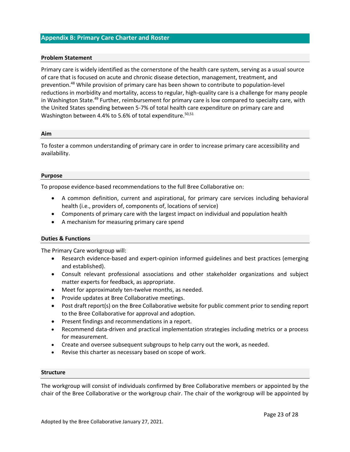#### <span id="page-24-0"></span>**Appendix B: Primary Care Charter and Roster**

#### **Problem Statement**

Primary care is widely identified as the cornerstone of the health care system, serving as a usual source of care that is focused on acute and chronic disease detection, management, treatment, and prevention.<sup>48</sup> While provision of primary care has been shown to contribute to population-level reductions in morbidity and mortality, access to regular, high-quality care is a challenge for many people in Washington State.<sup>49</sup> Further, reimbursement for primary care is low compared to specialty care, with the United States spending between 5-7% of total health care expenditure on primary care and Washington between 4.4% to 5.6% of total expenditure.<sup>50,51</sup>

#### **Aim**

To foster a common understanding of primary care in order to increase primary care accessibility and availability.

#### **Purpose**

To propose evidence-based recommendations to the full Bree Collaborative on:

- A common definition, current and aspirational, for primary care services including behavioral health (i.e., providers of, components of, locations of service)
- Components of primary care with the largest impact on individual and population health
- A mechanism for measuring primary care spend

#### **Duties & Functions**

The Primary Care workgroup will:

- Research evidence-based and expert-opinion informed guidelines and best practices (emerging and established).
- Consult relevant professional associations and other stakeholder organizations and subject matter experts for feedback, as appropriate.
- Meet for approximately ten-twelve months, as needed.
- Provide updates at Bree Collaborative meetings.
- Post draft report(s) on the Bree Collaborative website for public comment prior to sending report to the Bree Collaborative for approval and adoption.
- Present findings and recommendations in a report.
- Recommend data-driven and practical implementation strategies including metrics or a process for measurement.
- Create and oversee subsequent subgroups to help carry out the work, as needed.
- Revise this charter as necessary based on scope of work.

#### **Structure**

The workgroup will consist of individuals confirmed by Bree Collaborative members or appointed by the chair of the Bree Collaborative or the workgroup chair. The chair of the workgroup will be appointed by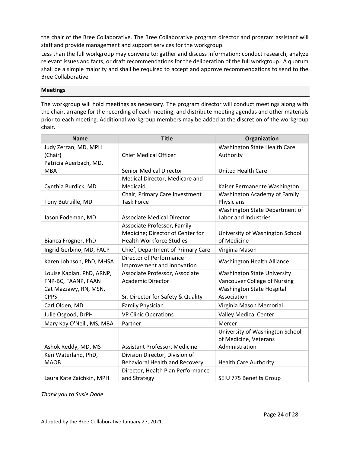the chair of the Bree Collaborative. The Bree Collaborative program director and program assistant will staff and provide management and support services for the workgroup.

Less than the full workgroup may convene to: gather and discuss information; conduct research; analyze relevant issues and facts; or draft recommendations for the deliberation of the full workgroup. A quorum shall be a simple majority and shall be required to accept and approve recommendations to send to the Bree Collaborative.

#### **Meetings**

The workgroup will hold meetings as necessary. The program director will conduct meetings along with the chair, arrange for the recording of each meeting, and distribute meeting agendas and other materials prior to each meeting. Additional workgroup members may be added at the discretion of the workgroup chair.

| <b>Name</b>                         | <b>Title</b>                                                     | Organization                            |
|-------------------------------------|------------------------------------------------------------------|-----------------------------------------|
| Judy Zerzan, MD, MPH                |                                                                  | Washington State Health Care            |
| (Chair)                             | <b>Chief Medical Officer</b>                                     | Authority                               |
| Patricia Auerbach, MD,              |                                                                  |                                         |
| <b>MBA</b>                          | <b>Senior Medical Director</b>                                   | <b>United Health Care</b>               |
|                                     | Medical Director, Medicare and                                   |                                         |
| Cynthia Burdick, MD                 | Medicaid                                                         | Kaiser Permanente Washington            |
|                                     | Chair, Primary Care Investment                                   | Washington Academy of Family            |
| Tony Butruille, MD                  | <b>Task Force</b>                                                | Physicians                              |
|                                     |                                                                  | Washington State Department of          |
| Jason Fodeman, MD                   | <b>Associate Medical Director</b>                                | Labor and Industries                    |
|                                     | Associate Professor, Family                                      |                                         |
|                                     | Medicine; Director of Center for                                 | University of Washington School         |
| Bianca Frogner, PhD                 | <b>Health Workforce Studies</b>                                  | of Medicine                             |
| Ingrid Gerbino, MD, FACP            | Chief, Department of Primary Care                                | Virginia Mason                          |
| Karen Johnson, PhD, MHSA            | Director of Performance<br>Improvement and Innovation            | <b>Washington Health Alliance</b>       |
| Louise Kaplan, PhD, ARNP,           | Associate Professor, Associate                                   | <b>Washington State University</b>      |
| FNP-BC, FAANP, FAAN                 | <b>Academic Director</b>                                         | Vancouver College of Nursing            |
| Cat Mazzawy, RN, MSN,               |                                                                  | <b>Washington State Hospital</b>        |
| <b>CPPS</b>                         | Sr. Director for Safety & Quality                                | Association                             |
| Carl Olden, MD                      | <b>Family Physician</b>                                          | Virginia Mason Memorial                 |
|                                     |                                                                  |                                         |
| Julie Osgood, DrPH                  | <b>VP Clinic Operations</b>                                      | <b>Valley Medical Center</b>            |
| Mary Kay O'Neill, MS, MBA           | Partner                                                          | Mercer                                  |
|                                     |                                                                  | University of Washington School         |
|                                     |                                                                  | of Medicine, Veterans<br>Administration |
| Ashok Reddy, MD, MS                 | Assistant Professor, Medicine                                    |                                         |
| Keri Waterland, PhD,<br><b>MAOB</b> | Division Director, Division of<br>Behavioral Health and Recovery | <b>Health Care Authority</b>            |
|                                     | Director, Health Plan Performance                                |                                         |
|                                     |                                                                  |                                         |
| Laura Kate Zaichkin, MPH            | and Strategy                                                     | SEIU 775 Benefits Group                 |

*Thank you to Susie Dade.*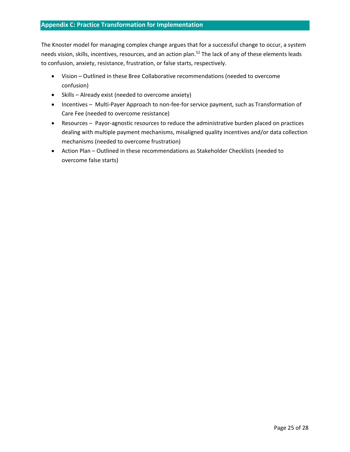## <span id="page-26-0"></span>**Appendix C: Practice Transformation for Implementation**

The Knoster model for managing complex change argues that for a successful change to occur, a system needs vision, skills, incentives, resources, and an action plan.<sup>52</sup> The lack of any of these elements leads to confusion, anxiety, resistance, frustration, or false starts, respectively.

- Vision Outlined in these Bree Collaborative recommendations (needed to overcome confusion)
- Skills Already exist (needed to overcome anxiety)
- Incentives Multi-Payer Approach to non-fee-for service payment, such as Transformation of Care Fee (needed to overcome resistance)
- Resources Payor-agnostic resources to reduce the administrative burden placed on practices dealing with multiple payment mechanisms, misaligned quality incentives and/or data collection mechanisms (needed to overcome frustration)
- Action Plan Outlined in these recommendations as Stakeholder Checklists (needed to overcome false starts)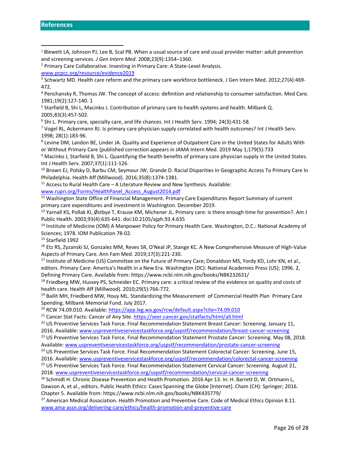<sup>4</sup> Penchansky R, Thomas JW. The concept of access: definition and relationship to consumer satisfaction. Med Care. 1981;19(2):127‐140. 1

5 Starfield B, Shi L, Macinko J. Contribution of primary care to health systems and health. Milbank Q. 2005;83(3):457‐502.

6 Shi L. Primary care, specialty care, and life chances. Int J Health Serv. 1994; 24(3):431-58.

<sup>7</sup> Vogel RL, Ackermann RJ. Is primary care physician supply correlated with health outcomes? Int J Health Serv. 1998; 28(1):183-96.

8 Levine DM, Landon BE, Linder JA. Quality and Experience of Outpatient Care in the United States for Adults With or Without Primary Care [published correction appears in JAMA Intern Med. 2019 May 1;179(5):733

<sup>9</sup> Macinko J, Starfield B, Shi L. Quantifying the health benefits of primary care physician supply in the United States. Int J Health Serv. 2007;37(1):111‐126.

<sup>10</sup> Brown EJ, Polsky D, Barbu CM, Seymour JW, Grande D. Racial Disparities In Geographic Access To Primary Care In Philadelphia. Health Aff (Millwood). 2016;35(8):1374‐1381.

 $11$  Access to Rural Health Care – A Literature Review and New Synthesis. Available:

[www.rupri.org/Forms/HealthPanel\\_Access\\_August2014.pdf](http://www.rupri.org/Forms/HealthPanel_Access_August2014.pdf)

<sup>12</sup> Washington State Office of Financial Management. Primary Care Expenditures Report Summary of current primary care expenditures and investment in Washington. December 2019.

<sup>13</sup> Yarnall KS, Pollak KI, Østbye T, Krause KM, Michener JL. Primary care: is there enough time for prevention?. Am J Public Health. 2003;93(4):635-641. doi:10.2105/ajph.93.4.635

<sup>14</sup> Institute of Medicine (IOM) A Manpower Policy for Primary Health Care. Washington, D.C.: National Academy of Sciences; 1978. IOM Publication 78-02.

<sup>15</sup> Starfield 1992

<sup>16</sup> Etz RS, Zyzanski SJ, Gonzalez MM, Reves SR, O'Neal JP, Stange KC. A New Comprehensive Measure of High-Value Aspects of Primary Care. Ann Fam Med. 2019;17(3):221‐230.

<sup>17</sup> Institute of Medicine (US) Committee on the Future of Primary Care; Donaldson MS, Yordy KD, Lohr KN, et al., editors. Primary Care: America's Health in a New Era. Washington (DC): National Academies Press (US); 1996. 2, Defining Primary Care. Available from: https://www.ncbi.nlm.nih.gov/books/NBK232631/

<sup>18</sup> Friedberg MW, Hussey PS, Schneider EC. Primary care: a critical review of the evidence on quality and costs of health care. Health Aff (Millwood). 2010;29(5):766‐772.

<sup>19</sup> Bailit MH, Friedberd MW, Houy ML. Standardizing the Measurement of Commercial Health Plan Primary Care Spending. Milbank Memorial Fund. July 2017.

<sup>20</sup> RCW 74.09.010. Available:<https://app.leg.wa.gov/rcw/default.aspx?cite=74.09.010>

<sup>21</sup> Cancer Stat Facts: Cancer of Any Site.<https://seer.cancer.gov/statfacts/html/all.html>

<sup>22</sup> US Preventive Services Task Force. Final Recommendation Statement Breast Cancer: Screening. January 11, 2016. Available: [www.uspreventiveservicestaskforce.org/uspstf/recommendation/breast-cancer-screening](http://www.uspreventiveservicestaskforce.org/uspstf/recommendation/breast-cancer-screening)

<sup>23</sup> US Preventive Services Task Force. Final Recommendation Statement Prostate Cancer: Screening. May 08, 2018. Available: [www.uspreventiveservicestaskforce.org/uspstf/recommendation/prostate-cancer-screening](http://www.uspreventiveservicestaskforce.org/uspstf/recommendation/prostate-cancer-screening)

<sup>24</sup> US Preventive Services Task Force. Final Recommendation Statement Colorectal Cancer: Screening. June 15,

2016. Available: [www.uspreventiveservicestaskforce.org/uspstf/recommendation/colorectal-cancer-screening](http://www.uspreventiveservicestaskforce.org/uspstf/recommendation/colorectal-cancer-screening) <sup>25</sup> US Preventive Services Task Force. Final Recommendation Statement Cervical Cancer: Screening. August 21,

2018. [www.uspreventiveservicestaskforce.org/uspstf/recommendation/cervical-cancer-screening](http://www.uspreventiveservicestaskforce.org/uspstf/recommendation/cervical-cancer-screening)

<sup>26</sup> Schmidt H. Chronic Disease Prevention and Health Promotion. 2016 Apr 13. In: H. Barrett D, W. Ortmann L, Dawson A, et al., editors. Public Health Ethics: Cases Spanning the Globe [Internet]. Cham (CH): Springer; 2016. Chapter 5. Available from: https://www.ncbi.nlm.nih.gov/books/NBK435779/

<sup>27</sup> American Medical Association. Health Promotion and Preventive Care. Code of Medical Ethics Opinion 8.11. [www.ama-assn.org/delivering-care/ethics/health-promotion-and-preventive-care](http://www.ama-assn.org/delivering-care/ethics/health-promotion-and-preventive-care)

<span id="page-27-0"></span><sup>1</sup> Blewett LA, Johnson PJ, Lee B, Scal PB. When a usual source of care and usual provider matter: adult prevention and screening services. *J Gen Intern Med*. 2008;23(9):1354–1360.

<sup>&</sup>lt;sup>2</sup> Primary Care Collaborative. Investing in Primary Care: A State-Level Analysis.

[www.pcpcc.org/resource/evidence2019](http://www.pcpcc.org/resource/evidence2019)

<sup>3</sup> Schwartz MD. Health care reform and the primary care workforce bottleneck. J Gen Intern Med. 2012;27(4):469‐ 472.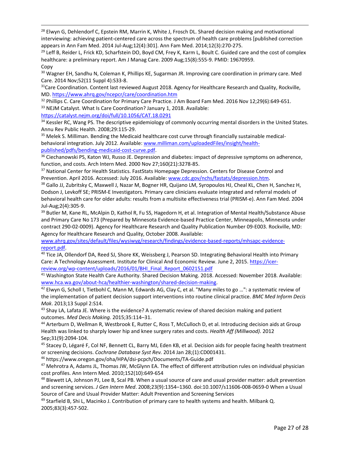<sup>28</sup> Elwyn G, Dehlendorf C, Epstein RM, Marrin K, White J, Frosch DL. Shared decision making and motivational interviewing: achieving patient-centered care across the spectrum of health care problems [published correction appears in Ann Fam Med. 2014 Jul-Aug;12(4):301]. Ann Fam Med. 2014;12(3):270-275.

 $^{29}$  Leff B, Reider L, Frick KD, Scharfstein DO, Boyd CM, Frey K, Karm L, Boult C. Guided care and the cost of complex healthcare: a preliminary report. Am J Manag Care. 2009 Aug;15(8):555-9. PMID: 19670959. Copy

<sup>30</sup> Wagner EH, Sandhu N, Coleman K, Phillips KE, Sugarman JR. Improving care coordination in primary care. Med Care. 2014 Nov;52(11 Suppl 4):S33-8.

<sup>31</sup>Care Coordination. Content last reviewed August 2018. Agency for Healthcare Research and Quality, Rockville, MD. <https://www.ahrq.gov/ncepcr/care/coordination.htm>

<sup>32</sup> Phillips C. Care Coordination for Primary Care Practice. J Am Board Fam Med. 2016 Nov 12;29(6):649-651. 33 NEJM Catalyst. What Is Care Coordination? January 1, 2018. Available:

<https://catalyst.nejm.org/doi/full/10.1056/CAT.18.0291>

<sup>34</sup> Kessler RC, Wang PS. The descriptive epidemiology of commonly occurring mental disorders in the United States. Annu Rev Public Health. 2008;29:115-29.

<sup>35</sup> Melek S. Milliman. Bending the Medicaid healthcare cost curve through financially sustainable medicalbehavioral integration. July 2012. Available[: www.milliman.com/uploadedFiles/insight/health](http://www.milliman.com/uploadedFiles/insight/health-published/pdfs/bending-medicaid-cost-curve.pdf)[published/pdfs/bending-medicaid-cost-curve.pdf.](http://www.milliman.com/uploadedFiles/insight/health-published/pdfs/bending-medicaid-cost-curve.pdf)

<sup>36</sup> Ciechanowski PS, Katon WJ, Russo JE. Depression and diabetes: impact of depressive symptoms on adherence, function, and costs. Arch Intern Med. 2000 Nov 27;160(21):3278-85.

<sup>37</sup> National Center for Health Statistics. FastStats Homepage Depression. Centers for Disease Control and Prevention. April 2016. Accessed: July 2016. Available[: www.cdc.gov/nchs/fastats/depression.htm.](http://www.cdc.gov/nchs/fastats/depression.htm) 

38 Gallo JJ, Zubritsky C, Maxwell J, Nazar M, Bogner HR, Quijano LM, Syropoulos HJ, Cheal KL, Chen H, Sanchez H, Dodson J, Levkoff SE; PRISM-E Investigators. Primary care clinicians evaluate integrated and referral models of behavioral health care for older adults: results from a multisite effectiveness trial (PRISM-e). Ann Fam Med. 2004 Jul-Aug;2(4):305-9.

<sup>39</sup> Butler M, Kane RL, McAlpin D, Kathol R, Fu SS, Hagedorn H, et al. Integration of Mental Health/Substance Abuse and Primary Care No 173 (Prepared by Minnesota Evidence-based Practice Center, Minneapolis, Minnesota under contract 290-02-0009). Agency for Healthcare Research and Quality Publication Number 09-E003. Rockville, MD: Agency for Healthcare Research and Quality, October 2008. Available:

[www.ahrq.gov/sites/default/files/wysiwyg/research/findings/evidence-based-reports/mhsapc-evidence](http://www.ahrq.gov/sites/default/files/wysiwyg/research/findings/evidence-based-reports/mhsapc-evidence-report.pdf)[report.pdf.](http://www.ahrq.gov/sites/default/files/wysiwyg/research/findings/evidence-based-reports/mhsapc-evidence-report.pdf)

<sup>40</sup> Tice JA, Ollendorf DA, Reed SJ, Shore KK, Weissberg J, Pearson SD. Integrating Behavioral Health into Primary Care: A Technology Assessment. Institute for Clinical And Economic Review. June 2, 2015. [https://icer](https://icer-review.org/wp-content/uploads/2016/01/BHI_Final_Report_0602151.pdf)[review.org/wp-content/uploads/2016/01/BHI\\_Final\\_Report\\_0602151.pdf](https://icer-review.org/wp-content/uploads/2016/01/BHI_Final_Report_0602151.pdf)

<sup>41</sup> Washington State Health Care Authority. Shared Decision Making. 2018. Accessed: November 2018. Available: [www.hca.wa.gov/about-hca/healthier-washington/shared-decision-making.](http://www.hca.wa.gov/about-hca/healthier-washington/shared-decision-making) 

 $42$  Elwyn G, Scholl I, Tietbohl C, Mann M, Edwards AG, Clay C, et al. "Many miles to go ...": a systematic review of the implementation of patient decision support interventions into routine clinical practice. *BMC Med Inform Decis Mak*. 2013;13 Suppl 2:S14.

43 Shay LA, Lafata JE. Where is the evidence? A systematic review of shared decision making and patient outcomes. *Med Decis Making.* 2015;35:114–31.

<sup>44</sup> Arterburn D, Wellman R, Westbrook E, Rutter C, Ross T, McCulloch D, et al. Introducing decision aids at Group Health was linked to sharply lower hip and knee surgery rates and costs. *Health Aff (Millwood).* 2012 Sep;31(9):2094-104.

<sup>45</sup> Stacey D, Légaré F, Col NF, Bennett CL, Barry MJ, Eden KB, et al. Decision aids for people facing health treatment or screening decisions. *Cochrane Database Syst Rev.* 2014 Jan 28;(1):CD001431.

<sup>46</sup> https://www.oregon.gov/oha/HPA/dsi-pcpch/Documents/TA-Guide.pdf

 $47$  Mehrotra A, Adams JL, Thomas JW, McGlynn EA. The effect of different attribution rules on individual physician cost profiles. Ann Intern Med. 2010;152(10):649‐654

<sup>48</sup> Blewett LA, Johnson PJ, Lee B, Scal PB. When a usual source of care and usual provider matter: adult prevention and screening services. *J Gen Intern Med*. 2008;23(9):1354–1360. doi:10.1007/s11606-008-0659-0 When a Usual Source of Care and Usual Provider Matter: Adult Prevention and Screening Services

<sup>49</sup> Starfield B, Shi L, Macinko J. Contribution of primary care to health systems and health. Milbank Q. 2005;83(3):457-502.